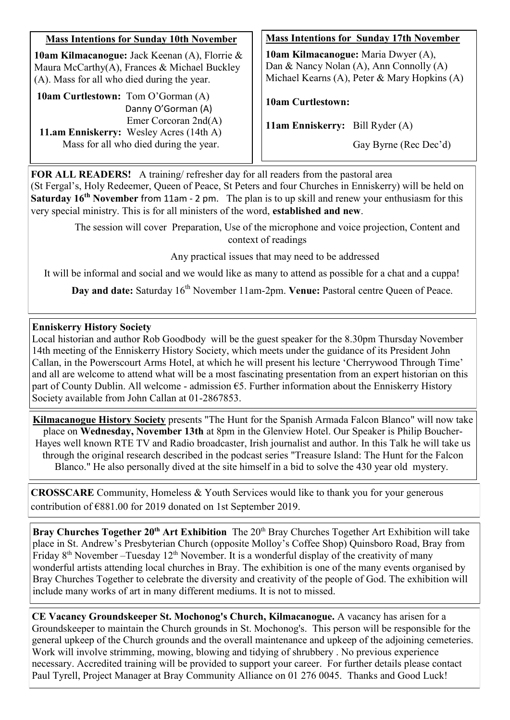## **Mass Intentions for Sunday 10th November**

**10am Kilmacanogue:** Jack Keenan (A), Florrie & Maura McCarthy(A), Frances & Michael Buckley (A). Mass for all who died during the year.

**10am Curtlestown:** Tom O'Gorman (A) Danny O'Gorman (A) Emer Corcoran 2nd(A) **11.am Enniskerry:** Wesley Acres (14th A) Mass for all who died during the year.

#### **Mass Intentions for Sunday 17th November**

**10am Kilmacanogue:** Maria Dwyer (A), Dan & Nancy Nolan (A), Ann Connolly (A) Michael Kearns (A), Peter & Mary Hopkins (A)

#### **10am Curtlestown:**

**11am Enniskerry:** Bill Ryder (A)

Gay Byrne (Rec Dec'd)

**FOR ALL READERS!** A training/ refresher day for all readers from the pastoral area (St Fergal's, Holy Redeemer, Queen of Peace, St Peters and four Churches in Enniskerry) will be held on **Saturday 16th November** from 11am - 2 pm. The plan is to up skill and renew your enthusiasm for this very special ministry. This is for all ministers of the word, **established and new**.

> The session will cover Preparation, Use of the microphone and voice projection, Content and context of readings

> > Any practical issues that may need to be addressed

It will be informal and social and we would like as many to attend as possible for a chat and a cuppa!

**Day and date:** Saturday 16<sup>th</sup> November 11am-2pm. **Venue:** Pastoral centre Queen of Peace.

## **Enniskerry History Society**

Local historian and author Rob Goodbody will be the guest speaker for the 8.30pm Thursday November 14th meeting of the Enniskerry History Society, which meets under the guidance of its President John Callan, in the Powerscourt Arms Hotel, at which he will present his lecture 'Cherrywood Through Time' and all are welcome to attend what will be a most fascinating presentation from an expert historian on this part of County Dublin. All welcome - admission €5. Further information about the Enniskerry History Society available from John Callan at 01-2867853.

**Kilmacanogue History Society** presents "The Hunt for the Spanish Armada Falcon Blanco" will now take place on **Wednesday, November 13th** at 8pm in the Glenview Hotel. Our Speaker is Philip Boucher-Hayes well known RTE TV and Radio broadcaster, Irish journalist and author. In this Talk he will take us through the original research described in the podcast series "Treasure Island: The Hunt for the Falcon Blanco." He also personally dived at the site himself in a bid to solve the 430 year old mystery.

**CROSSCARE** Community, Homeless & Youth Services would like to thank you for your generous contribution of €881.00 for 2019 donated on 1st September 2019.

**Bray Churches Together 20<sup>th</sup> Art Exhibition** The 20<sup>th</sup> Bray Churches Together Art Exhibition will take place in St. Andrew's Presbyterian Church (opposite Molloy's Coffee Shop) Quinsboro Road, Bray from Friday  $8<sup>th</sup>$  November –Tuesday  $12<sup>th</sup>$  November. It is a wonderful display of the creativity of many wonderful artists attending local churches in Bray. The exhibition is one of the many events organised by Bray Churches Together to celebrate the diversity and creativity of the people of God. The exhibition will include many works of art in many different mediums. It is not to missed.

**CE Vacancy Groundskeeper St. Mochonog's Church, Kilmacanogue.** A vacancy has arisen for a Groundskeeper to maintain the Church grounds in St. Mochonog's. This person will be responsible for the general upkeep of the Church grounds and the overall maintenance and upkeep of the adjoining cemeteries. Work will involve strimming, mowing, blowing and tidying of shrubbery . No previous experience necessary. Accredited training will be provided to support your career. For further details please contact Paul Tyrell, Project Manager at Bray Community Alliance on 01 276 0045. Thanks and Good Luck!